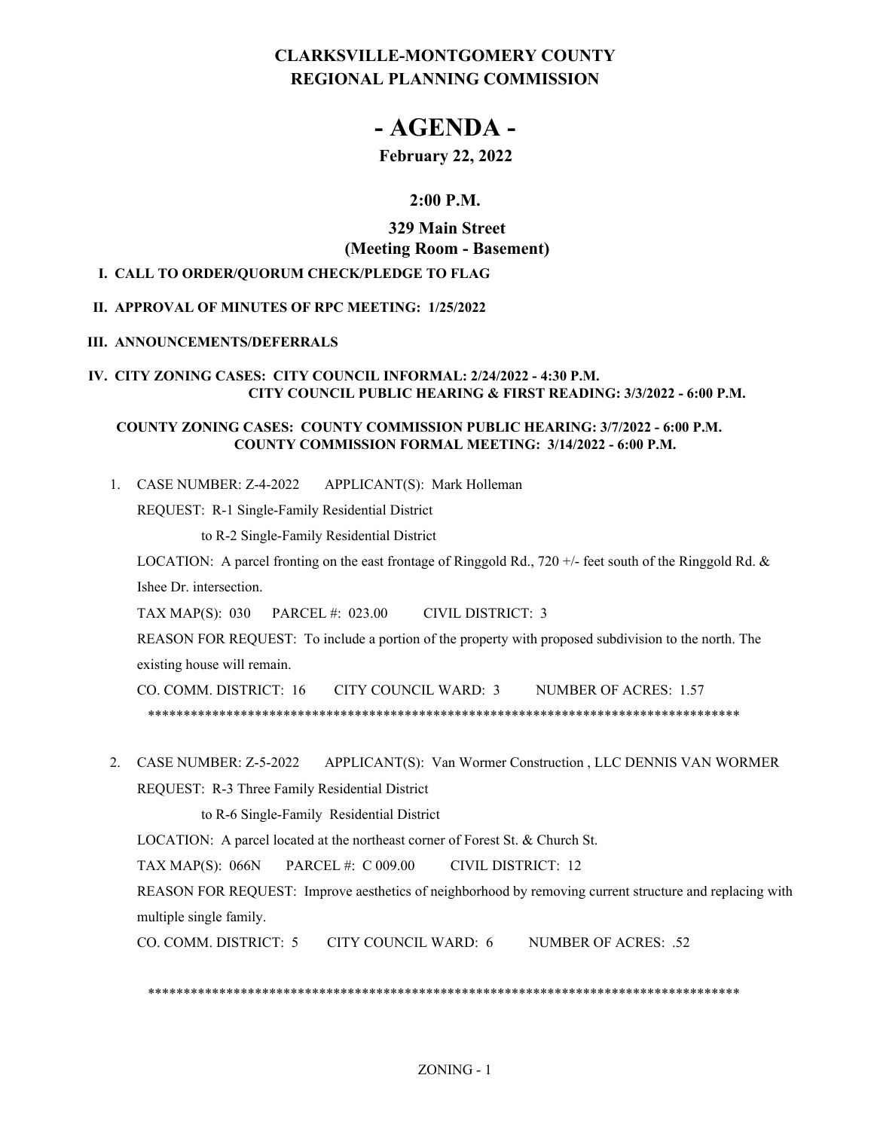# **CLARKSVILLE-MONTGOMERY COUNTY REGIONAL PLANNING COMMISSION**

# **- AGENDA -**

# **February 22, 2022**

# **2:00 P.M.**

# **329 Main Street (Meeting Room - Basement)**

### **I. CALL TO ORDER/QUORUM CHECK/PLEDGE TO FLAG**

### **II. APPROVAL OF MINUTES OF RPC MEETING: 1/25/2022**

#### **III. ANNOUNCEMENTS/DEFERRALS**

#### **IV. CITY ZONING CASES: CITY COUNCIL INFORMAL: 2/24/2022 - 4:30 P.M. CITY COUNCIL PUBLIC HEARING & FIRST READING: 3/3/2022 - 6:00 P.M.**

### **COUNTY ZONING CASES: COUNTY COMMISSION PUBLIC HEARING: 3/7/2022 - 6:00 P.M. COUNTY COMMISSION FORMAL MEETING: 3/14/2022 - 6:00 P.M.**

APPLICANT(S): Mark Holleman 1. CASE NUMBER: Z-4-2022

REQUEST: R-1 Single-Family Residential District

to R-2 Single-Family Residential District

LOCATION: A parcel fronting on the east frontage of Ringgold Rd., 720 +/- feet south of the Ringgold Rd. & Ishee Dr. intersection.

TAX MAP(S): 030 PARCEL #: 023.00 CIVIL DISTRICT: 3

REASON FOR REQUEST: To include a portion of the property with proposed subdivision to the north. The existing house will remain.

CO. COMM. DISTRICT: 16 CITY COUNCIL WARD: 3 NUMBER OF ACRES: 1.57 \*\*\*\*\*\*\*\*\*\*\*\*\*\*\*\*\*\*\*\*\*\*\*\*\*\*\*\*\*\*\*\*\*\*\*\*\*\*\*\*\*\*\*\*\*\*\*\*\*\*\*\*\*\*\*\*\*\*\*\*\*\*\*\*\*\*\*\*\*\*\*\*\*\*\*\*\*\*\*\*\*\*\*

2. CASE NUMBER: Z-5-2022 APPLICANT(S): Van Wormer Construction, LLC DENNIS VAN WORMER REQUEST: R-3 Three Family Residential District

to R-6 Single-Family Residential District

LOCATION: A parcel located at the northeast corner of Forest St. & Church St.

TAX MAP(S): 066N PARCEL #: C 009.00 CIVIL DISTRICT: 12

REASON FOR REQUEST: Improve aesthetics of neighborhood by removing current structure and replacing with multiple single family.

CO. COMM. DISTRICT: 5 CITY COUNCIL WARD: 6 NUMBER OF ACRES: .52

\*\*\*\*\*\*\*\*\*\*\*\*\*\*\*\*\*\*\*\*\*\*\*\*\*\*\*\*\*\*\*\*\*\*\*\*\*\*\*\*\*\*\*\*\*\*\*\*\*\*\*\*\*\*\*\*\*\*\*\*\*\*\*\*\*\*\*\*\*\*\*\*\*\*\*\*\*\*\*\*\*\*\*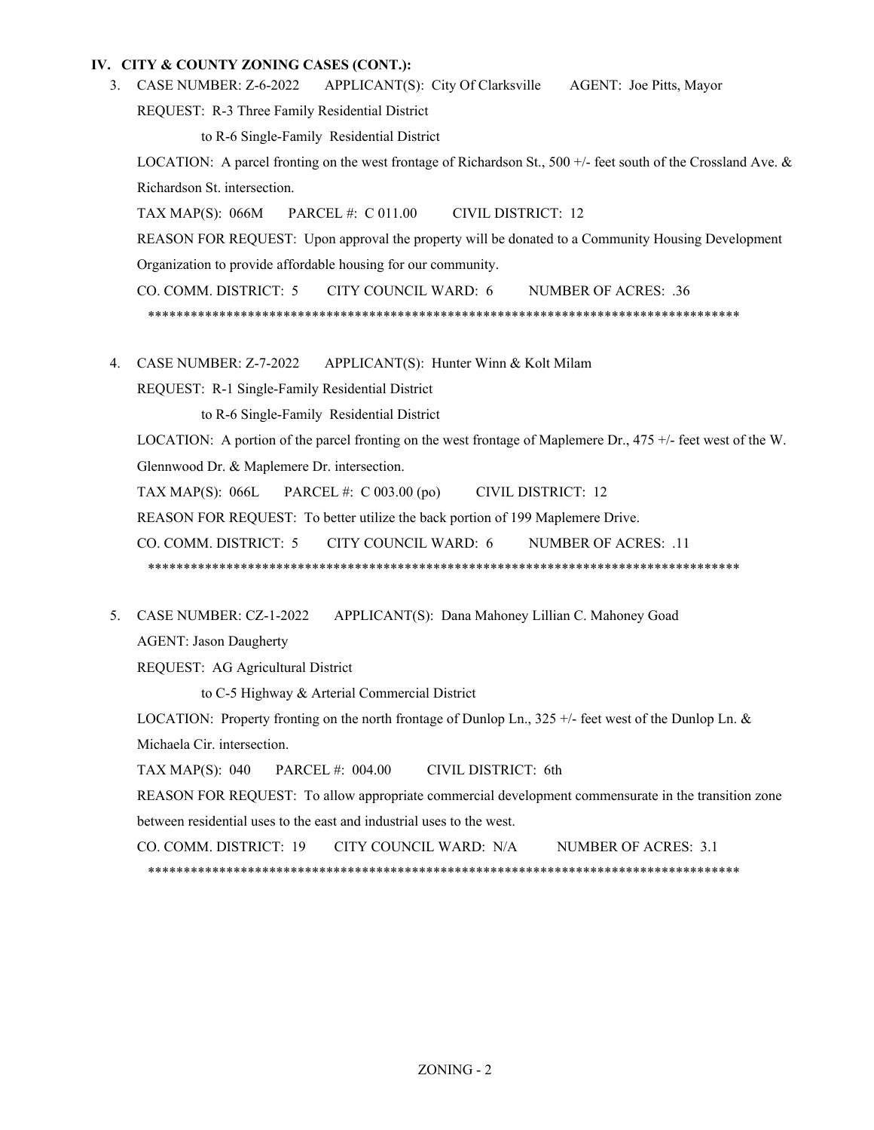#### **IV. CITY & COUNTY ZONING CASES (CONT.):**

APPLICANT(S): City Of Clarksville AGENT: Joe Pitts, Mayor 3. CASE NUMBER: Z-6-2022

REQUEST: R-3 Three Family Residential District

to R-6 Single-Family Residential District

LOCATION: A parcel fronting on the west frontage of Richardson St., 500 +/- feet south of the Crossland Ave. & Richardson St. intersection.

TAX MAP(S): 066M PARCEL #: C 011.00 CIVIL DISTRICT: 12

REASON FOR REQUEST: Upon approval the property will be donated to a Community Housing Development Organization to provide affordable housing for our community.

CO. COMM. DISTRICT: 5 CITY COUNCIL WARD: 6 NUMBER OF ACRES: .36 \*\*\*\*\*\*\*\*\*\*\*\*\*\*\*\*\*\*\*\*\*\*\*\*\*\*\*\*\*\*\*\*\*\*\*\*\*\*\*\*\*\*\*\*\*\*\*\*\*\*\*\*\*\*\*\*\*\*\*\*\*\*\*\*\*\*\*\*\*\*\*\*\*\*\*\*\*\*\*\*\*\*\*

4. CASE NUMBER: Z-7-2022 APPLICANT(S): Hunter Winn & Kolt Milam

REQUEST: R-1 Single-Family Residential District

to R-6 Single-Family Residential District

LOCATION: A portion of the parcel fronting on the west frontage of Maplemere Dr., 475 +/- feet west of the W. Glennwood Dr. & Maplemere Dr. intersection.

TAX MAP(S): 066L PARCEL #: C 003.00 (po) CIVIL DISTRICT: 12

REASON FOR REQUEST: To better utilize the back portion of 199 Maplemere Drive.

CO. COMM. DISTRICT: 5 CITY COUNCIL WARD: 6 NUMBER OF ACRES: .11

\*\*\*\*\*\*\*\*\*\*\*\*\*\*\*\*\*\*\*\*\*\*\*\*\*\*\*\*\*\*\*\*\*\*\*\*\*\*\*\*\*\*\*\*\*\*\*\*\*\*\*\*\*\*\*\*\*\*\*\*\*\*\*\*\*\*\*\*\*\*\*\*\*\*\*\*\*\*\*\*\*\*\*

APPLICANT(S): Dana Mahoney Lillian C. Mahoney Goad 5. CASE NUMBER: CZ-1-2022

AGENT: Jason Daugherty

REQUEST: AG Agricultural District

to C-5 Highway & Arterial Commercial District

LOCATION: Property fronting on the north frontage of Dunlop Ln., 325 +/- feet west of the Dunlop Ln. & Michaela Cir. intersection.

TAX MAP(S): 040 PARCEL #: 004.00 CIVIL DISTRICT: 6th

REASON FOR REQUEST: To allow appropriate commercial development commensurate in the transition zone between residential uses to the east and industrial uses to the west.

CO. COMM. DISTRICT: 19 CITY COUNCIL WARD: N/A NUMBER OF ACRES: 3.1

\*\*\*\*\*\*\*\*\*\*\*\*\*\*\*\*\*\*\*\*\*\*\*\*\*\*\*\*\*\*\*\*\*\*\*\*\*\*\*\*\*\*\*\*\*\*\*\*\*\*\*\*\*\*\*\*\*\*\*\*\*\*\*\*\*\*\*\*\*\*\*\*\*\*\*\*\*\*\*\*\*\*\*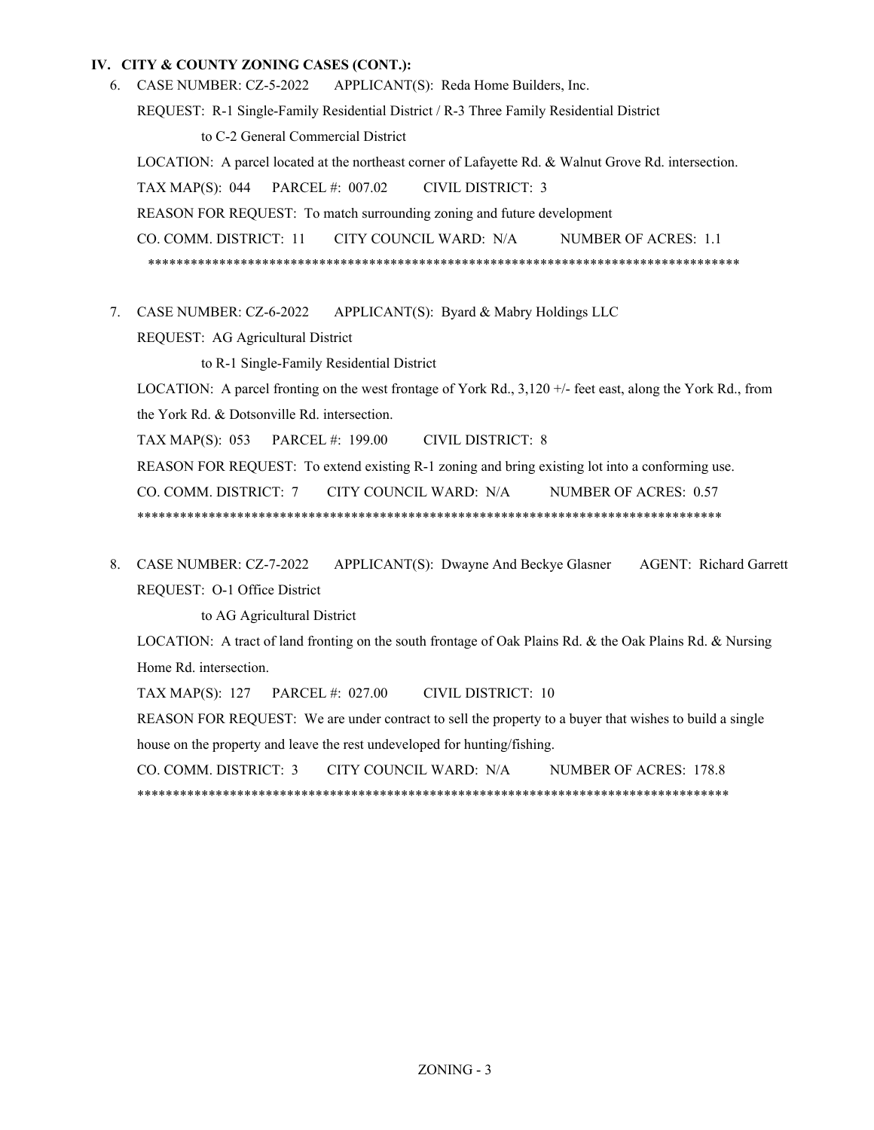#### **IV. CITY & COUNTY ZONING CASES (CONT.):**

- APPLICANT(S): Reda Home Builders, Inc. REQUEST: R-1 Single-Family Residential District / R-3 Three Family Residential District to C-2 General Commercial District LOCATION: A parcel located at the northeast corner of Lafayette Rd. & Walnut Grove Rd. intersection. TAX MAP(S): 044 PARCEL #: 007.02 CIVIL DISTRICT: 3 REASON FOR REQUEST: To match surrounding zoning and future development CO. COMM. DISTRICT: 11 CITY COUNCIL WARD: N/A NUMBER OF ACRES: 1.1 \*\*\*\*\*\*\*\*\*\*\*\*\*\*\*\*\*\*\*\*\*\*\*\*\*\*\*\*\*\*\*\*\*\*\*\*\*\*\*\*\*\*\*\*\*\*\*\*\*\*\*\*\*\*\*\*\*\*\*\*\*\*\*\*\*\*\*\*\*\*\*\*\*\*\*\*\*\*\*\*\*\*\* 6. CASE NUMBER: CZ-5-2022
- APPLICANT(S): Byard & Mabry Holdings LLC 7. CASE NUMBER: CZ-6-2022

REQUEST: AG Agricultural District

to R-1 Single-Family Residential District

LOCATION: A parcel fronting on the west frontage of York Rd., 3,120 +/- feet east, along the York Rd., from the York Rd. & Dotsonville Rd. intersection.

TAX MAP(S): 053 PARCEL #: 199.00 CIVIL DISTRICT: 8

REASON FOR REQUEST: To extend existing R-1 zoning and bring existing lot into a conforming use.

CO. COMM. DISTRICT: 7 CITY COUNCIL WARD: N/A NUMBER OF ACRES: 0.57

\*\*\*\*\*\*\*\*\*\*\*\*\*\*\*\*\*\*\*\*\*\*\*\*\*\*\*\*\*\*\*\*\*\*\*\*\*\*\*\*\*\*\*\*\*\*\*\*\*\*\*\*\*\*\*\*\*\*\*\*\*\*\*\*\*\*\*\*\*\*\*\*\*\*\*\*\*\*\*\*\*\*

APPLICANT(S): Dwayne And Beckye Glasner AGENT: Richard Garrett REQUEST: O-1 Office District 8. CASE NUMBER: CZ-7-2022

to AG Agricultural District

LOCATION: A tract of land fronting on the south frontage of Oak Plains Rd. & the Oak Plains Rd. & Nursing Home Rd. intersection.

TAX MAP(S): 127 PARCEL #: 027.00 CIVIL DISTRICT: 10

REASON FOR REQUEST: We are under contract to sell the property to a buyer that wishes to build a single house on the property and leave the rest undeveloped for hunting/fishing.

CO. COMM. DISTRICT: 3 CITY COUNCIL WARD: N/A NUMBER OF ACRES: 178.8 \*\*\*\*\*\*\*\*\*\*\*\*\*\*\*\*\*\*\*\*\*\*\*\*\*\*\*\*\*\*\*\*\*\*\*\*\*\*\*\*\*\*\*\*\*\*\*\*\*\*\*\*\*\*\*\*\*\*\*\*\*\*\*\*\*\*\*\*\*\*\*\*\*\*\*\*\*\*\*\*\*\*\*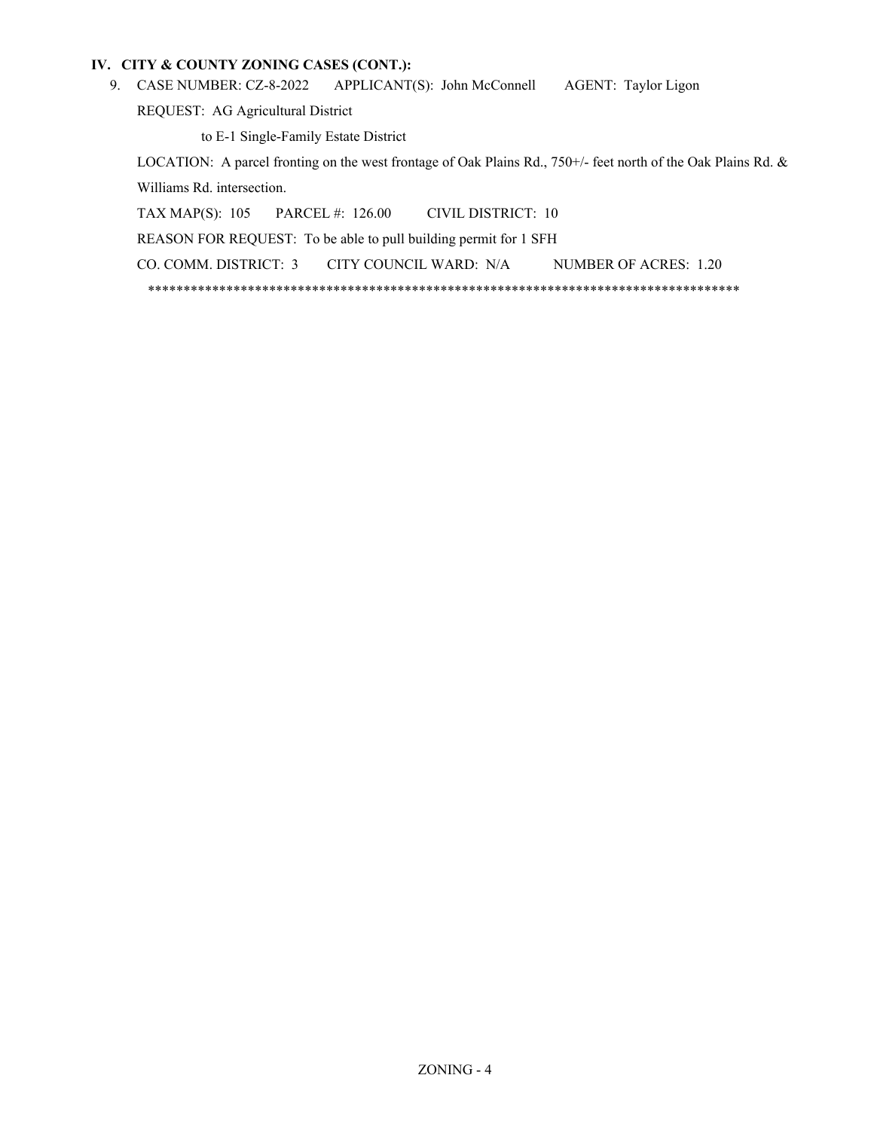### **IV. CITY & COUNTY ZONING CASES (CONT.):**

APPLICANT(S): John McConnell AGENT: Taylor Ligon 9. CASE NUMBER: CZ-8-2022

REQUEST: AG Agricultural District

to E-1 Single-Family Estate District

LOCATION: A parcel fronting on the west frontage of Oak Plains Rd., 750+/- feet north of the Oak Plains Rd. & Williams Rd. intersection.

TAX MAP(S): 105 PARCEL #: 126.00 CIVIL DISTRICT: 10 REASON FOR REQUEST: To be able to pull building permit for 1 SFH CO. COMM. DISTRICT: 3 CITY COUNCIL WARD: N/A NUMBER OF ACRES: 1.20 \*\*\*\*\*\*\*\*\*\*\*\*\*\*\*\*\*\*\*\*\*\*\*\*\*\*\*\*\*\*\*\*\*\*\*\*\*\*\*\*\*\*\*\*\*\*\*\*\*\*\*\*\*\*\*\*\*\*\*\*\*\*\*\*\*\*\*\*\*\*\*\*\*\*\*\*\*\*\*\*\*\*\*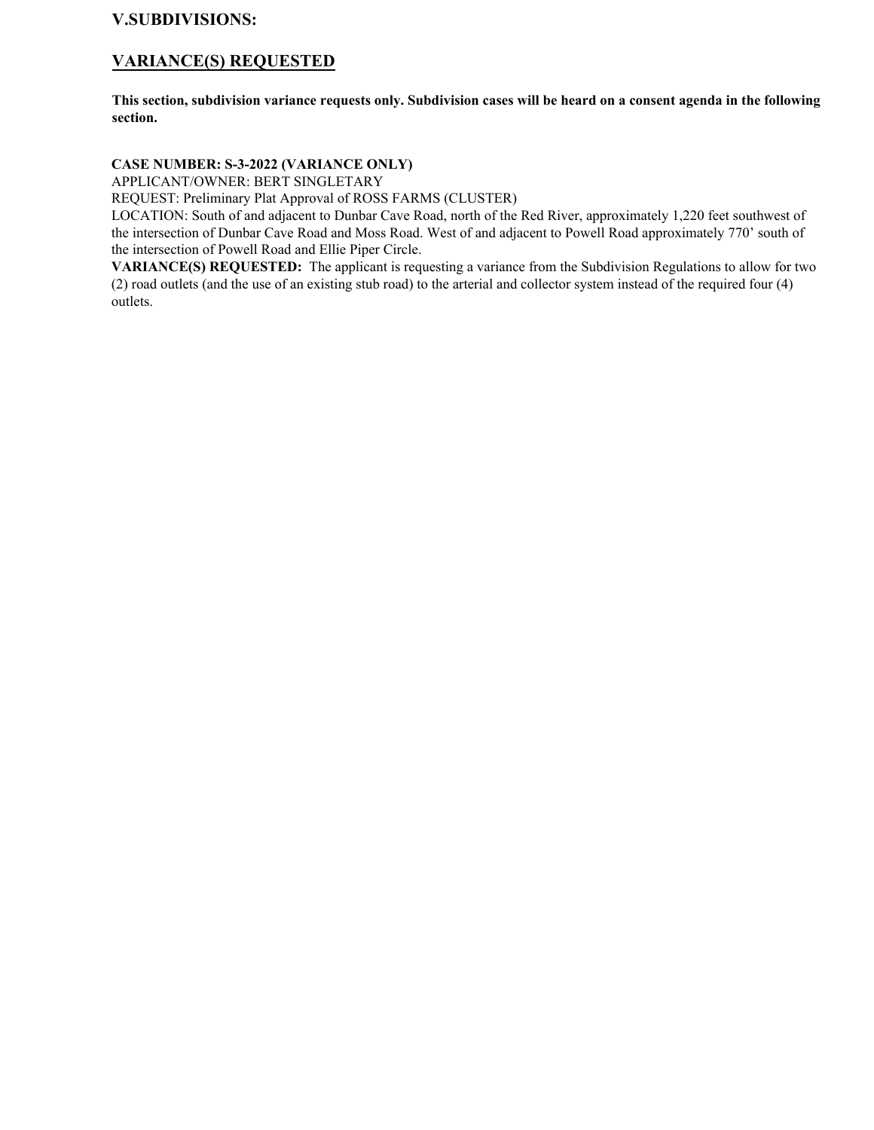# **V.SUBDIVISIONS:**

# **VARIANCE(S) REQUESTED**

**This section, subdivision variance requests only. Subdivision cases will be heard on a consent agenda in the following section.**

# **CASE NUMBER: S-3-2022 (VARIANCE ONLY)**

APPLICANT/OWNER: BERT SINGLETARY

REQUEST: Preliminary Plat Approval of ROSS FARMS (CLUSTER)

LOCATION: South of and adjacent to Dunbar Cave Road, north of the Red River, approximately 1,220 feet southwest of the intersection of Dunbar Cave Road and Moss Road. West of and adjacent to Powell Road approximately 770' south of the intersection of Powell Road and Ellie Piper Circle.

**VARIANCE(S) REQUESTED:** The applicant is requesting a variance from the Subdivision Regulations to allow for two (2) road outlets (and the use of an existing stub road) to the arterial and collector system instead of the required four (4) outlets.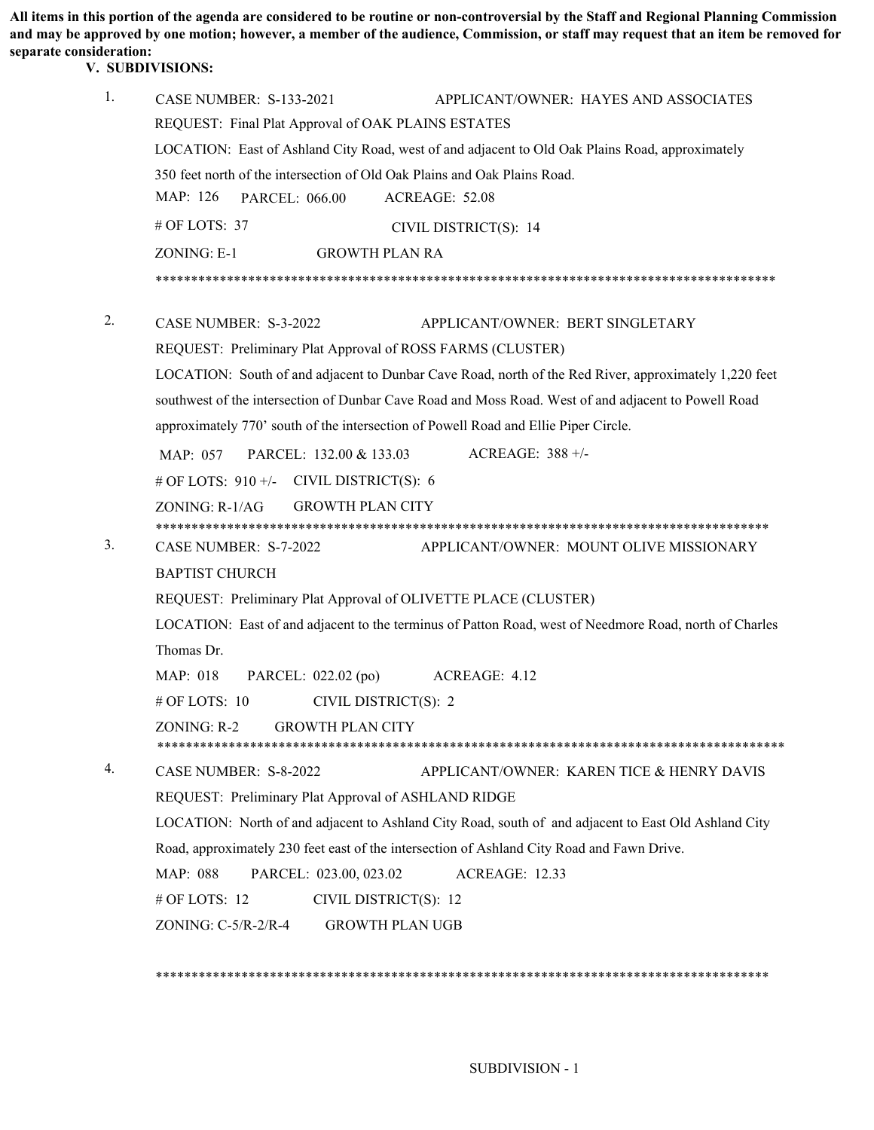**All items in this portion of the agenda are considered to be routine or non-controversial by the Staff and Regional Planning Commission and may be approved by one motion; however, a member of the audience, Commission, or staff may request that an item be removed for separate consideration:** 

# **V. SUBDIVISIONS:**

| 1.                                                             | <b>CASE NUMBER: S-133-2021</b><br>APPLICANT/OWNER: HAYES AND ASSOCIATES                                |  |  |  |  |
|----------------------------------------------------------------|--------------------------------------------------------------------------------------------------------|--|--|--|--|
|                                                                | REQUEST: Final Plat Approval of OAK PLAINS ESTATES                                                     |  |  |  |  |
|                                                                | LOCATION: East of Ashland City Road, west of and adjacent to Old Oak Plains Road, approximately        |  |  |  |  |
|                                                                | 350 feet north of the intersection of Old Oak Plains and Oak Plains Road.                              |  |  |  |  |
|                                                                | MAP: 126<br>ACREAGE: 52.08<br><b>PARCEL: 066.00</b>                                                    |  |  |  |  |
|                                                                | # OF LOTS: 37<br>CIVIL DISTRICT(S): 14                                                                 |  |  |  |  |
|                                                                | ZONING: E-1<br><b>GROWTH PLAN RA</b>                                                                   |  |  |  |  |
|                                                                |                                                                                                        |  |  |  |  |
| 2.                                                             | CASE NUMBER: S-3-2022<br>APPLICANT/OWNER: BERT SINGLETARY                                              |  |  |  |  |
|                                                                | REQUEST: Preliminary Plat Approval of ROSS FARMS (CLUSTER)                                             |  |  |  |  |
|                                                                | LOCATION: South of and adjacent to Dunbar Cave Road, north of the Red River, approximately 1,220 feet  |  |  |  |  |
|                                                                | southwest of the intersection of Dunbar Cave Road and Moss Road. West of and adjacent to Powell Road   |  |  |  |  |
|                                                                | approximately 770' south of the intersection of Powell Road and Ellie Piper Circle.                    |  |  |  |  |
|                                                                | ACREAGE: $388 +/-$<br>PARCEL: 132.00 & 133.03<br>MAP: 057                                              |  |  |  |  |
|                                                                | # OF LOTS: $910 +/-$ CIVIL DISTRICT(S): 6                                                              |  |  |  |  |
|                                                                | $ZONING: R-1/AG$<br><b>GROWTH PLAN CITY</b>                                                            |  |  |  |  |
|                                                                |                                                                                                        |  |  |  |  |
| 3.                                                             | CASE NUMBER: S-7-2022<br>APPLICANT/OWNER: MOUNT OLIVE MISSIONARY                                       |  |  |  |  |
|                                                                | <b>BAPTIST CHURCH</b>                                                                                  |  |  |  |  |
| REQUEST: Preliminary Plat Approval of OLIVETTE PLACE (CLUSTER) |                                                                                                        |  |  |  |  |
|                                                                | LOCATION: East of and adjacent to the terminus of Patton Road, west of Needmore Road, north of Charles |  |  |  |  |
|                                                                | Thomas Dr.                                                                                             |  |  |  |  |
|                                                                | MAP: 018<br>PARCEL: 022.02 (po)<br>ACREAGE: 4.12                                                       |  |  |  |  |
|                                                                | # OF LOTS: 10<br>CIVIL DISTRICT(S): 2                                                                  |  |  |  |  |
|                                                                | ZONING: R-2<br><b>GROWTH PLAN CITY</b>                                                                 |  |  |  |  |
| 4.                                                             | CASE NUMBER: S-8-2022<br>APPLICANT/OWNER: KAREN TICE & HENRY DAVIS                                     |  |  |  |  |
|                                                                | REQUEST: Preliminary Plat Approval of ASHLAND RIDGE                                                    |  |  |  |  |
|                                                                | LOCATION: North of and adjacent to Ashland City Road, south of and adjacent to East Old Ashland City   |  |  |  |  |
|                                                                | Road, approximately 230 feet east of the intersection of Ashland City Road and Fawn Drive.             |  |  |  |  |
|                                                                | PARCEL: 023.00, 023.02<br>ACREAGE: 12.33<br>MAP: 088                                                   |  |  |  |  |
|                                                                | # OF LOTS: 12<br>CIVIL DISTRICT(S): 12                                                                 |  |  |  |  |
|                                                                | ZONING: C-5/R-2/R-4<br><b>GROWTH PLAN UGB</b>                                                          |  |  |  |  |
|                                                                |                                                                                                        |  |  |  |  |

\*\*\*\*\*\*\*\*\*\*\*\*\*\*\*\*\*\*\*\*\*\*\*\*\*\*\*\*\*\*\*\*\*\*\*\*\*\*\*\*\*\*\*\*\*\*\*\*\*\*\*\*\*\*\*\*\*\*\*\*\*\*\*\*\*\*\*\*\*\*\*\*\*\*\*\*\*\*\*\*\*\*\*\*\*\*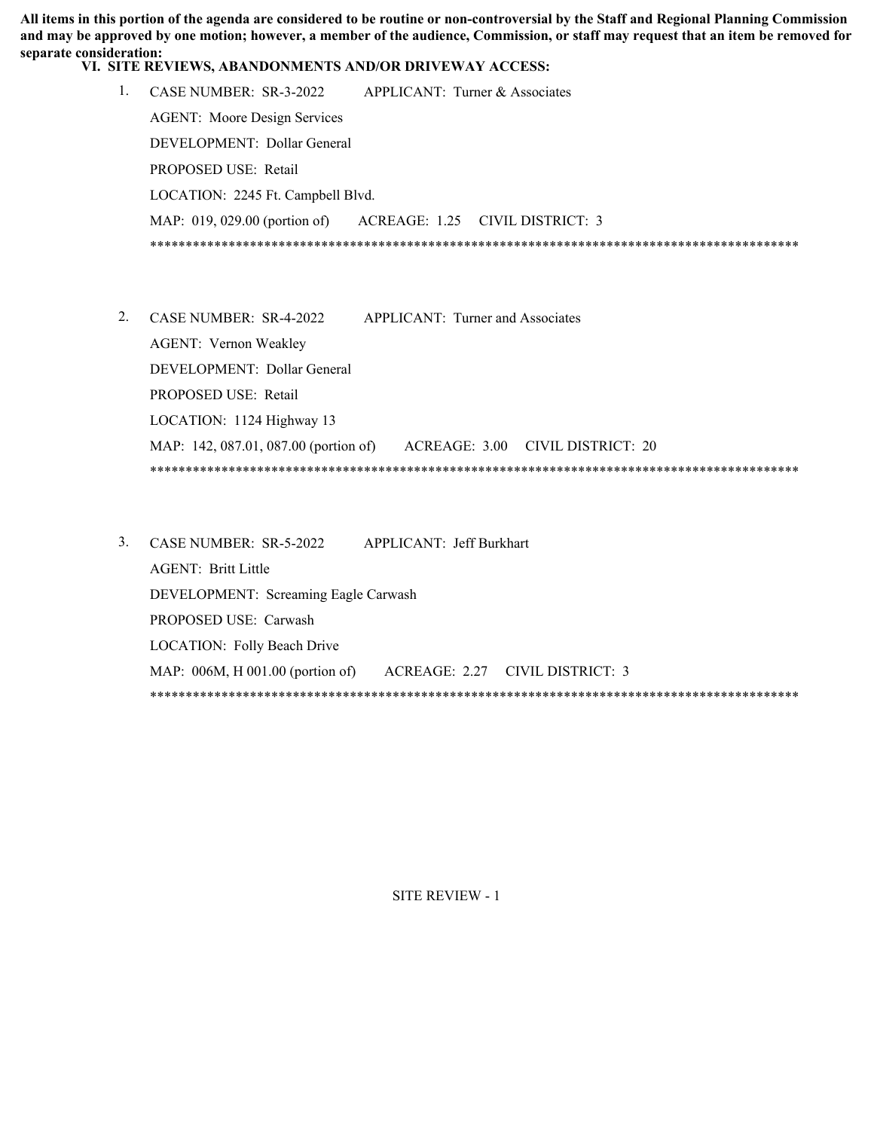**All items in this portion of the agenda are considered to be routine or non-controversial by the Staff and Regional Planning Commission and may be approved by one motion; however, a member of the audience, Commission, or staff may request that an item be removed for separate consideration:** 

**VI. SITE REVIEWS, ABANDONMENTS AND/OR DRIVEWAY ACCESS:**

| CASE NUMBER: $SR-3-2022$            | APPLICANT: Turner & Associates  |  |
|-------------------------------------|---------------------------------|--|
| <b>AGENT:</b> Moore Design Services |                                 |  |
| DEVELOPMENT: Dollar General         |                                 |  |
| PROPOSED USE: Retail                |                                 |  |
| LOCATION: 2245 Ft. Campbell Blvd.   |                                 |  |
| MAP: $019, 029.00$ (portion of)     | ACREAGE: 1.25 CIVIL DISTRICT: 3 |  |
|                                     |                                 |  |

- APPLICANT: Turner and Associates AGENT: Vernon Weakley DEVELOPMENT: Dollar General PROPOSED USE: Retail LOCATION: 1124 Highway 13 MAP: 142, 087.01, 087.00 (portion of) ACREAGE: 3.00 CIVIL DISTRICT: 20 \*\*\*\*\*\*\*\*\*\*\*\*\*\*\*\*\*\*\*\*\*\*\*\*\*\*\*\*\*\*\*\*\*\*\*\*\*\*\*\*\*\*\*\*\*\*\*\*\*\*\*\*\*\*\*\*\*\*\*\*\*\*\*\*\*\*\*\*\*\*\*\*\*\*\*\*\*\*\*\*\*\*\*\*\*\*\*\*\*\*\* 2. CASE NUMBER: SR-4-2022
- CASE NUMBER: SR-5-2022 APPLICANT: Jeff Burkhart 3. AGENT: Britt Little DEVELOPMENT: Screaming Eagle Carwash PROPOSED USE: Carwash LOCATION: Folly Beach Drive MAP: 006M, H 001.00 (portion of) ACREAGE: 2.27 CIVIL DISTRICT: 3 \*\*\*\*\*\*\*\*\*\*\*\*\*\*\*\*\*\*\*\*\*\*\*\*\*\*\*\*\*\*\*\*\*\*\*\*\*\*\*\*\*\*\*\*\*\*\*\*\*\*\*\*\*\*\*\*\*\*\*\*\*\*\*\*\*\*\*\*\*\*\*\*\*\*\*\*\*\*\*\*\*\*\*\*\*\*\*\*\*\*\*

SITE REVIEW - 1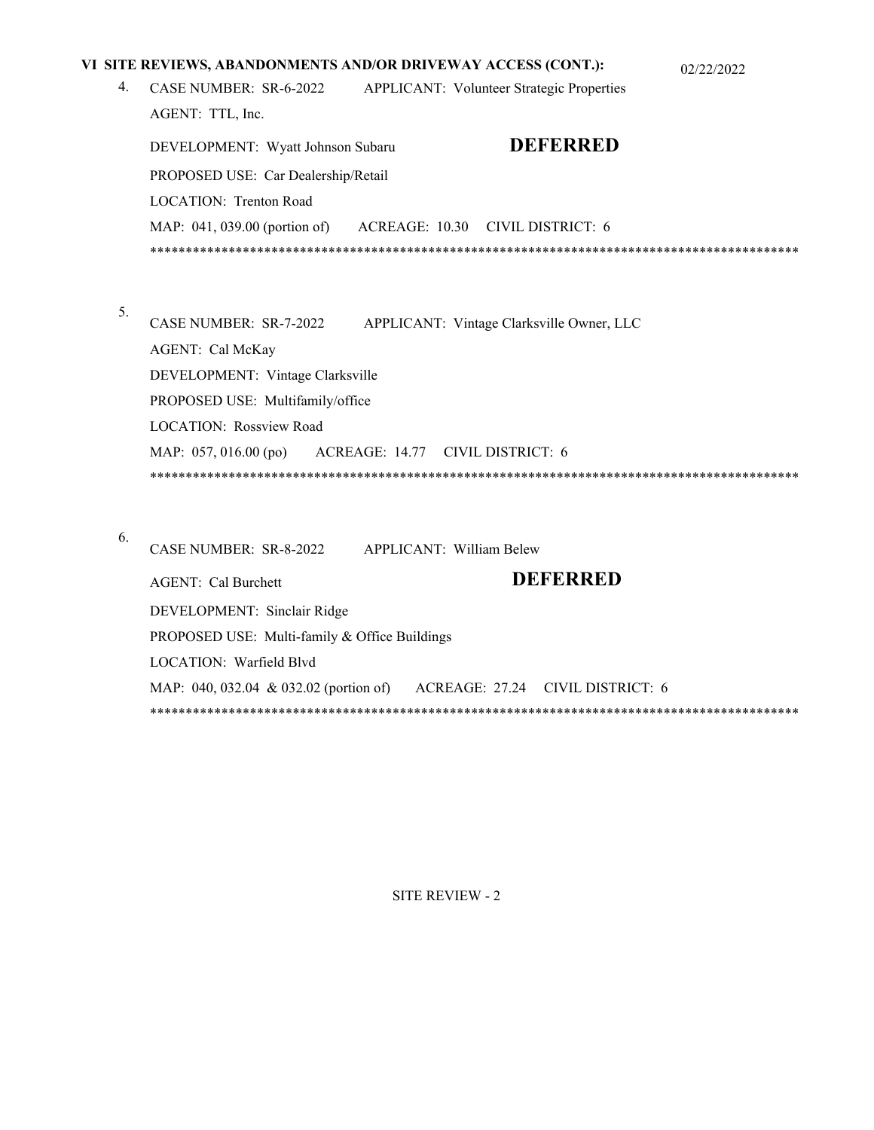|    | VI SITE REVIEWS, ABANDONMENTS AND/OR DRIVEWAY ACCESS (CONT.):<br>02/22/2022 |  |  |  |  |  |
|----|-----------------------------------------------------------------------------|--|--|--|--|--|
| 4. | CASE NUMBER: SR-6-2022<br><b>APPLICANT: Volunteer Strategic Properties</b>  |  |  |  |  |  |
|    | AGENT: TTL, Inc.                                                            |  |  |  |  |  |
|    | <b>DEFERRED</b><br>DEVELOPMENT: Wyatt Johnson Subaru                        |  |  |  |  |  |
|    | PROPOSED USE: Car Dealership/Retail                                         |  |  |  |  |  |
|    | LOCATION: Trenton Road                                                      |  |  |  |  |  |
|    | MAP: 041, 039.00 (portion of)<br>ACREAGE: 10.30 CIVIL DISTRICT: 6           |  |  |  |  |  |
|    |                                                                             |  |  |  |  |  |
|    |                                                                             |  |  |  |  |  |
| 5. |                                                                             |  |  |  |  |  |
|    | CASE NUMBER: SR-7-2022<br>APPLICANT: Vintage Clarksville Owner, LLC         |  |  |  |  |  |
|    | AGENT: Cal McKay                                                            |  |  |  |  |  |
|    | DEVELOPMENT: Vintage Clarksville                                            |  |  |  |  |  |
|    | PROPOSED USE: Multifamily/office                                            |  |  |  |  |  |
|    | <b>LOCATION: Rossview Road</b>                                              |  |  |  |  |  |
|    | MAP: 057, 016.00 (po)<br>ACREAGE: 14.77 CIVIL DISTRICT: 6                   |  |  |  |  |  |
|    |                                                                             |  |  |  |  |  |
|    |                                                                             |  |  |  |  |  |
| 6. | CASE NUMBER: SR-8-2022<br>APPLICANT: William Belew                          |  |  |  |  |  |
|    | <b>DEFERRED</b>                                                             |  |  |  |  |  |
|    | <b>AGENT:</b> Cal Burchett                                                  |  |  |  |  |  |
|    | DEVELOPMENT: Sinclair Ridge                                                 |  |  |  |  |  |

SITE REVIEW - 2

\*\*\*\*\*\*\*\*\*\*\*\*\*\*\*\*\*\*\*\*\*\*\*\*\*\*\*\*\*\*\*\*\*\*\*\*\*\*\*\*\*\*\*\*\*\*\*\*\*\*\*\*\*\*\*\*\*\*\*\*\*\*\*\*\*\*\*\*\*\*\*\*\*\*\*\*\*\*\*\*\*\*\*\*\*\*\*\*\*\*\*

MAP: 040, 032.04 & 032.02 (portion of) ACREAGE: 27.24 CIVIL DISTRICT: 6

PROPOSED USE: Multi-family & Office Buildings

LOCATION: Warfield Blvd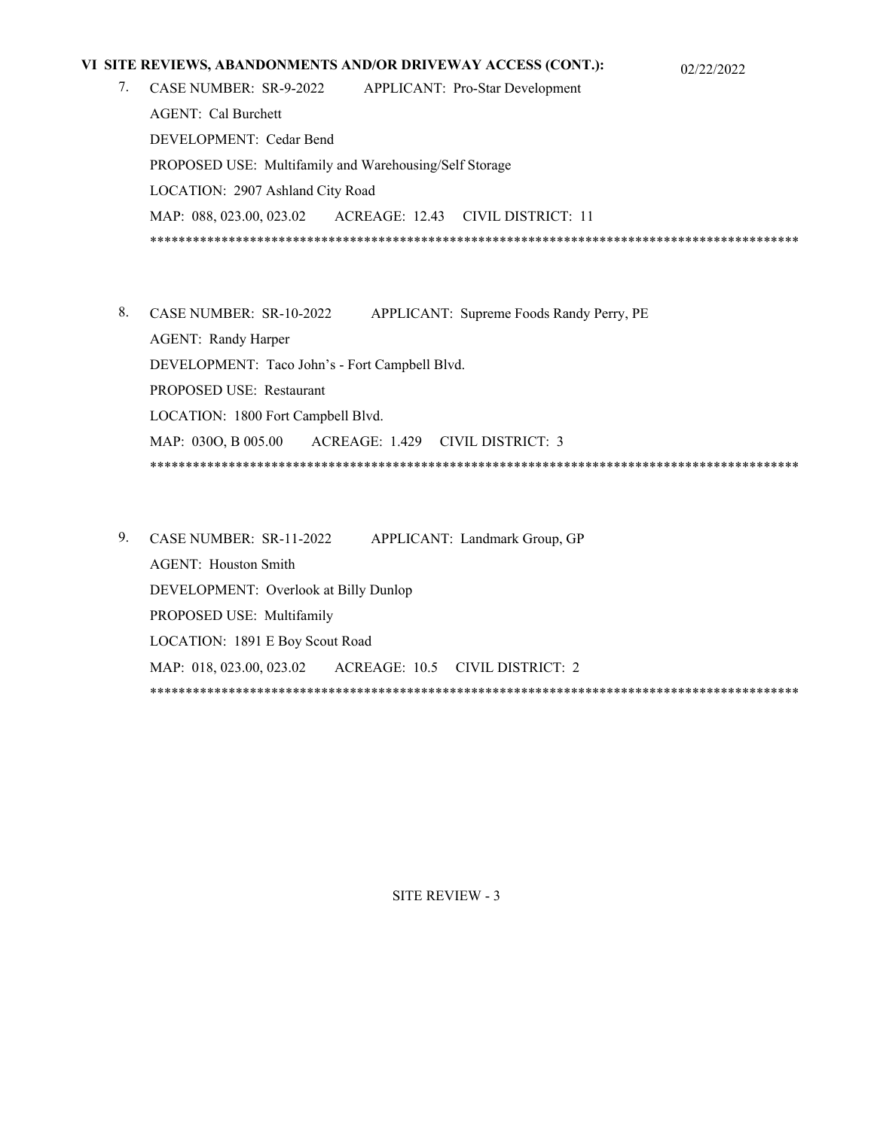### **VI SITE REVIEWS, ABANDONMENTS AND/OR DRIVEWAY ACCESS (CONT.):** 02/22/2022

- 7. CASE NUMBER: SR-9-2022 APPLICANT: Pro-Star Development AGENT: Cal Burchett DEVELOPMENT: Cedar Bend PROPOSED USE: Multifamily and Warehousing/Self Storage LOCATION: 2907 Ashland City Road MAP: 088, 023.00, 023.02 ACREAGE: 12.43 CIVIL DISTRICT: 11 \*\*\*\*\*\*\*\*\*\*\*\*\*\*\*\*\*\*\*\*\*\*\*\*\*\*\*\*\*\*\*\*\*\*\*\*\*\*\*\*\*\*\*\*\*\*\*\*\*\*\*\*\*\*\*\*\*\*\*\*\*\*\*\*\*\*\*\*\*\*\*\*\*\*\*\*\*\*\*\*\*\*\*\*\*\*\*\*\*\*\*
- 8. CASE NUMBER: SR-10-2022 APPLICANT: Supreme Foods Randy Perry, PE AGENT: Randy Harper DEVELOPMENT: Taco John's - Fort Campbell Blvd. PROPOSED USE: Restaurant LOCATION: 1800 Fort Campbell Blvd. MAP: 030O, B 005.00 ACREAGE: 1.429 CIVIL DISTRICT: 3 \*\*\*\*\*\*\*\*\*\*\*\*\*\*\*\*\*\*\*\*\*\*\*\*\*\*\*\*\*\*\*\*\*\*\*\*\*\*\*\*\*\*\*\*\*\*\*\*\*\*\*\*\*\*\*\*\*\*\*\*\*\*\*\*\*\*\*\*\*\*\*\*\*\*\*\*\*\*\*\*\*\*\*\*\*\*\*\*\*\*\*
- 9. CASE NUMBER: SR-11-2022 APPLICANT: Landmark Group, GP AGENT: Houston Smith DEVELOPMENT: Overlook at Billy Dunlop PROPOSED USE: Multifamily LOCATION: 1891 E Boy Scout Road MAP: 018, 023.00, 023.02 ACREAGE: 10.5 CIVIL DISTRICT: 2 \*\*\*\*\*\*\*\*\*\*\*\*\*\*\*\*\*\*\*\*\*\*\*\*\*\*\*\*\*\*\*\*\*\*\*\*\*\*\*\*\*\*\*\*\*\*\*\*\*\*\*\*\*\*\*\*\*\*\*\*\*\*\*\*\*\*\*\*\*\*\*\*\*\*\*\*\*\*\*\*\*\*\*\*\*\*\*\*\*\*\*

### SITE REVIEW - 3